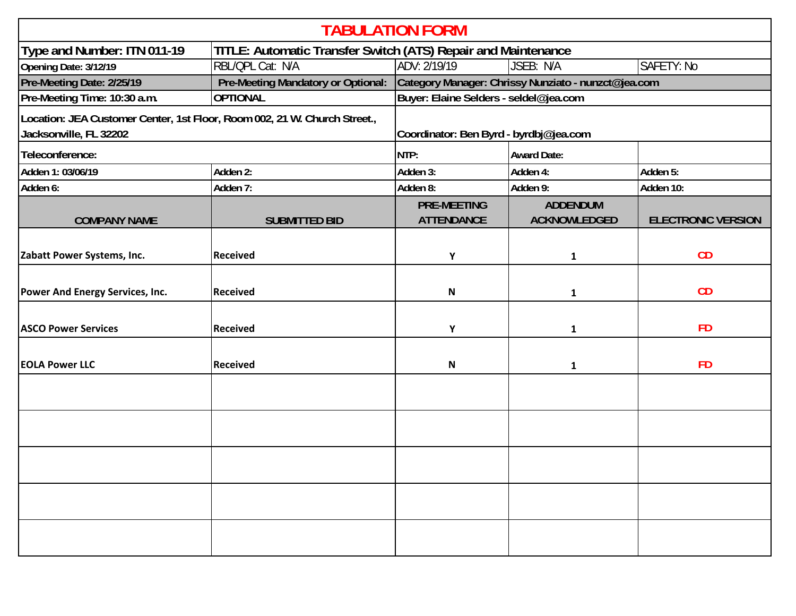| <b>TABULATION FORM</b>                                                                              |                                    |                                                     |                                        |                           |  |  |  |  |
|-----------------------------------------------------------------------------------------------------|------------------------------------|-----------------------------------------------------|----------------------------------------|---------------------------|--|--|--|--|
| Type and Number: ITN 011-19<br>TITLE: Automatic Transfer Switch (ATS) Repair and Maintenance        |                                    |                                                     |                                        |                           |  |  |  |  |
| Opening Date: 3/12/19                                                                               | RBL/QPL Cat: N/A                   | ADV: 2/19/19                                        | JSEB: N/A<br>SAFETY: No                |                           |  |  |  |  |
| Pre-Meeting Date: 2/25/19                                                                           | Pre-Meeting Mandatory or Optional: | Category Manager: Chrissy Nunziato - nunzct@jea.com |                                        |                           |  |  |  |  |
| Pre-Meeting Time: 10:30 a.m.                                                                        | <b>OPTIONAL</b>                    | Buyer: Elaine Selders - seldel@jea.com              |                                        |                           |  |  |  |  |
| Location: JEA Customer Center, 1st Floor, Room 002, 21 W. Church Street.,<br>Jacksonville, FL 32202 |                                    | Coordinator: Ben Byrd - byrdbj@jea.com              |                                        |                           |  |  |  |  |
| Teleconference:                                                                                     |                                    | NTP:                                                | <b>Award Date:</b>                     |                           |  |  |  |  |
| Adden 1: 03/06/19                                                                                   | Adden 2:                           | Adden 3:                                            | Adden 4:                               | Adden 5:                  |  |  |  |  |
| Adden 6:                                                                                            | Adden 7:                           | Adden 8:                                            | Adden 9:                               | Adden 10:                 |  |  |  |  |
| <b>COMPANY NAME</b>                                                                                 | <b>SUBMITTED BID</b>               | <b>PRE-MEETING</b><br><b>ATTENDANCE</b>             | <b>ADDENDUM</b><br><b>ACKNOWLEDGED</b> | <b>ELECTRONIC VERSION</b> |  |  |  |  |
| Zabatt Power Systems, Inc.                                                                          | <b>Received</b>                    | Υ                                                   | 1                                      | CD                        |  |  |  |  |
| <b>Power And Energy Services, Inc.</b>                                                              | <b>Received</b>                    | N                                                   | 1                                      | CD                        |  |  |  |  |
| <b>ASCO Power Services</b>                                                                          | <b>Received</b>                    | Υ                                                   | 1                                      | <b>FD</b>                 |  |  |  |  |
| <b>EOLA Power LLC</b>                                                                               | <b>Received</b>                    | N                                                   | 1                                      | <b>FD</b>                 |  |  |  |  |
|                                                                                                     |                                    |                                                     |                                        |                           |  |  |  |  |
|                                                                                                     |                                    |                                                     |                                        |                           |  |  |  |  |
|                                                                                                     |                                    |                                                     |                                        |                           |  |  |  |  |
|                                                                                                     |                                    |                                                     |                                        |                           |  |  |  |  |
|                                                                                                     |                                    |                                                     |                                        |                           |  |  |  |  |